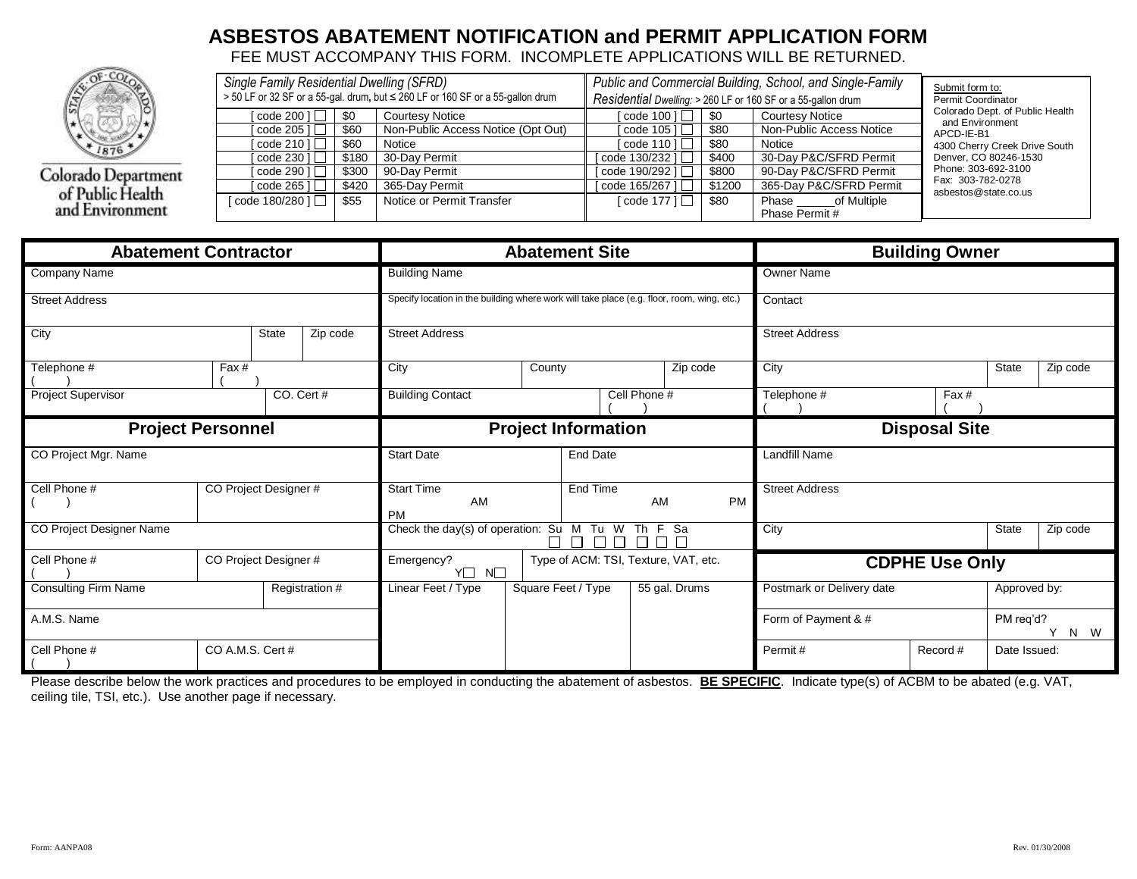## **ASBESTOS ABATEMENT NOTIFICATION and PERMIT APPLICATION FORM**

FEE MUST ACCOMPANY THIS FORM. INCOMPLETE APPLICATIONS WILL BE RETURNED.



Colorado Department<br>of Public Health<br>and Environment

| Single Family Residential Dwelling (SFRD) |       |                                                                                | Public and Commercial Building, School, and Single-Family    | Submit form to:    |                          |                                                    |
|-------------------------------------------|-------|--------------------------------------------------------------------------------|--------------------------------------------------------------|--------------------|--------------------------|----------------------------------------------------|
|                                           |       | > 50 LF or 32 SF or a 55-gal. drum, but ≤ 260 LF or 160 SF or a 55-gallon drum | Residential Dwelling: > 260 LF or 160 SF or a 55-gallon drum | Permit Coordinator |                          |                                                    |
| [ $\c{code}$ 200 ] $\Box$                 | \$0   | <b>Courtesy Notice</b>                                                         | $\lceil \text{code } 100 \rceil$                             | \$0                | <b>Courtesy Notice</b>   | Colorado Dept. of Public Health<br>and Environment |
| $\vert$ code 205 1 $\vert$                | \$60  | Non-Public Access Notice (Opt Out)                                             | code 105 $1 \Box$                                            | \$80               | Non-Public Access Notice | APCD-IE-B1                                         |
| $\lceil \text{code 210} \rceil$           | \$60  | Notice                                                                         | $\lceil \text{code } 110 \rceil$                             | \$80               | Notice                   | 4300 Cherry Creek Drive South                      |
| $\cot 230$ $\cot 230$                     | \$180 | 30-Dav Permit                                                                  | code 130/232 ] $\Box$                                        | \$400              | 30-Day P&C/SFRD Permit   | Denver, CO 80246-1530                              |
| $\lceil \text{code 290} \rceil$           | \$300 | 90-Dav Permit                                                                  | code 190/292 $\Box$                                          | \$800              | 90-Day P&C/SFRD Permit   | Phone: 303-692-3100                                |
| $\cot 265$ $\cot$                         | \$420 | 365-Dav Permit                                                                 | code 165/267 ]                                               | \$1200             | 365-Day P&C/SFRD Permit  | Fax: 303-782-0278<br>asbestos@state.co.us          |
| [ $\c{code}$ 180/280 ] $\Box$             | \$55  | Notice or Permit Transfer                                                      | [code 177 ] $□$                                              | \$80               | of Multiple<br>Phase     |                                                    |
|                                           |       |                                                                                |                                                              |                    | Phase Permit #           |                                                    |

|                                       | <b>Abatement Contractor</b>          |  |                       | <b>Abatement Site</b>                                                                      |        |                     |               |                       | <b>Building Owner</b>     |              |              |          |
|---------------------------------------|--------------------------------------|--|-----------------------|--------------------------------------------------------------------------------------------|--------|---------------------|---------------|-----------------------|---------------------------|--------------|--------------|----------|
| <b>Company Name</b>                   |                                      |  |                       | <b>Building Name</b>                                                                       |        |                     |               | <b>Owner Name</b>     |                           |              |              |          |
| <b>Street Address</b>                 |                                      |  |                       | Specify location in the building where work will take place (e.g. floor, room, wing, etc.) |        |                     |               | Contact               |                           |              |              |          |
| City<br>State<br>Zip code             |                                      |  | <b>Street Address</b> |                                                                                            |        |                     |               | <b>Street Address</b> |                           |              |              |          |
| Telephone #                           | Fax#                                 |  |                       | City                                                                                       | County |                     | Zip code      |                       | City                      |              | State        | Zip code |
| CO. Cert #<br>Project Supervisor      |                                      |  |                       | <b>Building Contact</b><br>Cell Phone #                                                    |        |                     |               |                       | Telephone #<br>Fax#       |              |              |          |
|                                       | <b>Project Personnel</b>             |  |                       | <b>Project Information</b>                                                                 |        |                     |               |                       | <b>Disposal Site</b>      |              |              |          |
| CO Project Mgr. Name                  | <b>Start Date</b><br><b>End Date</b> |  |                       |                                                                                            |        | Landfill Name       |               |                       |                           |              |              |          |
| CO Project Designer #<br>Cell Phone # |                                      |  |                       | <b>Start Time</b><br>AM<br><b>PM</b>                                                       |        | End Time            | AM            | <b>PM</b>             | <b>Street Address</b>     |              |              |          |
| CO Project Designer Name              |                                      |  |                       | Check the day(s) of operation: Su M Tu W<br>Th F Sa                                        |        |                     |               | City                  |                           | State        | Zip code     |          |
| Cell Phone #                          | CO Project Designer #                |  |                       | Type of ACM: TSI, Texture, VAT, etc.<br>Emergency?<br>Y□<br>$N\square$                     |        |                     |               | <b>CDPHE Use Only</b> |                           |              |              |          |
| <b>Consulting Firm Name</b>           |                                      |  | Registration #        | Linear Feet / Type                                                                         |        | Square Feet / Type  | 55 gal. Drums |                       | Postmark or Delivery date |              | Approved by: |          |
| A.M.S. Name                           |                                      |  |                       |                                                                                            |        | Form of Payment & # |               | PM req'd?             | Y<br>N W                  |              |              |          |
| Cell Phone #                          | CO A.M.S. Cert #                     |  |                       |                                                                                            |        |                     |               | Permit#               | Record #                  | Date Issued: |              |          |

Please describe below the work practices and procedures to be employed in conducting the abatement of asbestos. **BE SPECIFIC**. Indicate type(s) of ACBM to be abated (e.g. VAT, ceiling tile, TSI, etc.). Use another page if necessary.